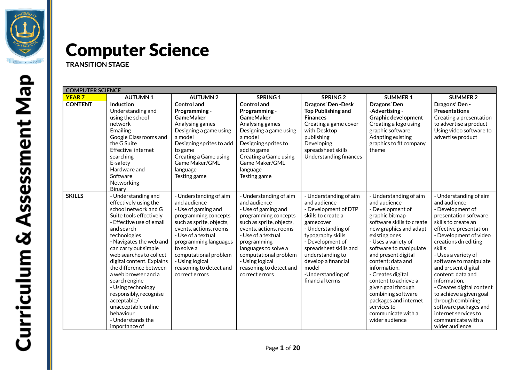

# Computer Science

**TRANSITION STAGE**

| <b>COMPUTER SCIENCE</b> |                                                                                                                                                                                                                                                                                                                                                                                                                                                                                 |                                                                                                                                                                                                                                                                                                   |                                                                                                                                                                                                                                                                                                   |                                                                                                                                                                                                                                                                                        |                                                                                                                                                                                                                                                                                                                                                                                                                                            |                                                                                                                                                                                                                                                                                                                                                                                                                                                                                     |  |
|-------------------------|---------------------------------------------------------------------------------------------------------------------------------------------------------------------------------------------------------------------------------------------------------------------------------------------------------------------------------------------------------------------------------------------------------------------------------------------------------------------------------|---------------------------------------------------------------------------------------------------------------------------------------------------------------------------------------------------------------------------------------------------------------------------------------------------|---------------------------------------------------------------------------------------------------------------------------------------------------------------------------------------------------------------------------------------------------------------------------------------------------|----------------------------------------------------------------------------------------------------------------------------------------------------------------------------------------------------------------------------------------------------------------------------------------|--------------------------------------------------------------------------------------------------------------------------------------------------------------------------------------------------------------------------------------------------------------------------------------------------------------------------------------------------------------------------------------------------------------------------------------------|-------------------------------------------------------------------------------------------------------------------------------------------------------------------------------------------------------------------------------------------------------------------------------------------------------------------------------------------------------------------------------------------------------------------------------------------------------------------------------------|--|
| <b>YEAR7</b>            | <b>AUTUMN1</b>                                                                                                                                                                                                                                                                                                                                                                                                                                                                  | <b>AUTUMN2</b>                                                                                                                                                                                                                                                                                    | <b>SPRING 1</b>                                                                                                                                                                                                                                                                                   | <b>SPRING 2</b>                                                                                                                                                                                                                                                                        | <b>SUMMER 1</b>                                                                                                                                                                                                                                                                                                                                                                                                                            | <b>SUMMER 2</b>                                                                                                                                                                                                                                                                                                                                                                                                                                                                     |  |
| <b>CONTENT</b>          | Induction<br>Understanding and<br>using the school<br>network<br>Emailing<br>Google Classrooms and<br>the G Suite<br>Effective internet<br>searching<br>E-safety<br>Hardware and<br>Software<br>Networking<br>Binary                                                                                                                                                                                                                                                            | <b>Control and</b><br>Programming -<br><b>GameMaker</b><br>Analysing games<br>Designing a game using<br>a model<br>Designing sprites to add<br>to game<br>Creating a Game using<br>Game Maker/GML<br>language<br>Testing game                                                                     | <b>Control and</b><br>Programming -<br><b>GameMaker</b><br>Analysing games<br>Designing a game using<br>a model<br>Designing sprites to<br>add to game<br>Creating a Game using<br>Game Maker/GML<br>language<br>Testing game                                                                     | Dragons' Den-Desk<br><b>Top Publishing and</b><br><b>Finances</b><br>Creating a game cover<br>with Desktop<br>publishing<br>Developing<br>spreadsheet skills<br>Understanding finances                                                                                                 | Dragons' Den<br>-Advertising -<br><b>Graphic development</b><br>Creating a logo using<br>graphic software<br>Adapting existing<br>graphics to fit company<br>theme                                                                                                                                                                                                                                                                         | Dragons' Den -<br><b>Presentations</b><br>Creating a presentation<br>to advertise a product<br>Using video software to<br>advertise product                                                                                                                                                                                                                                                                                                                                         |  |
| <b>SKILLS</b>           | - Understanding and<br>effectively using the<br>school network and G<br>Suite tools effectively<br>- Effective use of email<br>and search<br>technologies<br>- Navigates the web and<br>can carry out simple<br>web searches to collect<br>digital content. Explains<br>the difference between<br>a web browser and a<br>search engine<br>- Using technology<br>responsibly, recognise<br>acceptable/<br>unacceptable online<br>behaviour<br>- Understands the<br>importance of | - Understanding of aim<br>and audience<br>- Use of gaming and<br>programming concepts<br>such as sprite, objects,<br>events, actions, rooms<br>- Use of a textual<br>programming languages<br>to solve a<br>computational problem<br>- Using logical<br>reasoning to detect and<br>correct errors | - Understanding of aim<br>and audience<br>- Use of gaming and<br>programming concepts<br>such as sprite, objects,<br>events, actions, rooms<br>- Use of a textual<br>programming<br>languages to solve a<br>computational problem<br>- Using logical<br>reasoning to detect and<br>correct errors | - Understanding of aim<br>and audience<br>- Development of DTP<br>skills to create a<br>gamecover<br>- Understanding of<br>typography skills<br>- Development of<br>spreadsheet skills and<br>understanding to<br>develop a financial<br>model<br>-Understanding of<br>financial terms | - Understanding of aim<br>and audience<br>- Development of<br>graphic bitmap<br>software skills to create<br>new graphics and adapt<br>existing ones<br>- Uses a variety of<br>software to manipulate<br>and present digital<br>content: data and<br>information.<br>- Creates digital<br>content to achieve a<br>given goal through<br>combining software<br>packages and internet<br>services to<br>communicate with a<br>wider audience | - Understanding of aim<br>and audience<br>- Development of<br>presentation software<br>skills to create an<br>effective presentation<br>- Development of video<br>creations dn editing<br>skills<br>- Uses a variety of<br>software to manipulate<br>and present digital<br>content: data and<br>information.<br>- Creates digital content<br>to achieve a given goal<br>through combining<br>software packages and<br>internet services to<br>communicate with a<br>wider audience |  |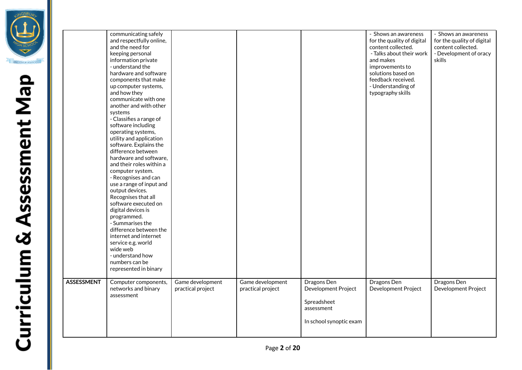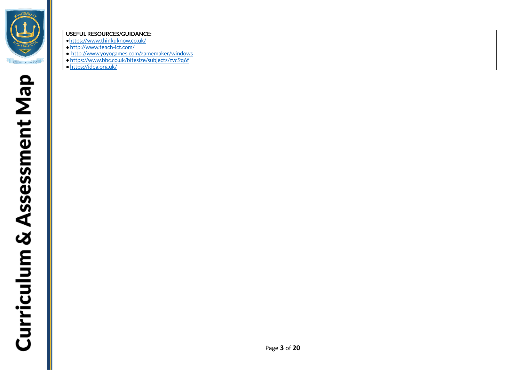

#### **USEFUL RESOURCES/GUIDANCE:**

- •<https://www.thinkuknow.co.uk/>
- ●<http://www.teach-ict.com/>
- <http://www.yoyogames.com/gamemaker/windows>
- ●https://www.bbc.co.uk/bitesize/subjects/zvc9q6f
- ●<https://idea.org.uk/>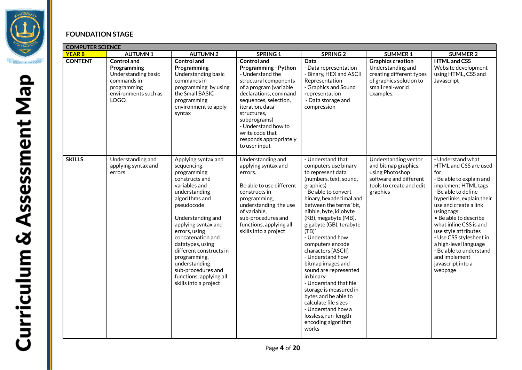

## **FOUNDATION STAGE**

| <b>COMPUTER SCIENCE</b> |                                                                                                                         |                                                                                                                                                                                                                                                                                                                                                                                   |                                                                                                                                                                                                                                                                                                                   |                                                                                                                                                                                                                                                                                                                                                                                                                                                                                                                                                                                                         |                                                                                                                                       |                                                                                                                                                                                                                                                                                                                                                                                                            |  |
|-------------------------|-------------------------------------------------------------------------------------------------------------------------|-----------------------------------------------------------------------------------------------------------------------------------------------------------------------------------------------------------------------------------------------------------------------------------------------------------------------------------------------------------------------------------|-------------------------------------------------------------------------------------------------------------------------------------------------------------------------------------------------------------------------------------------------------------------------------------------------------------------|---------------------------------------------------------------------------------------------------------------------------------------------------------------------------------------------------------------------------------------------------------------------------------------------------------------------------------------------------------------------------------------------------------------------------------------------------------------------------------------------------------------------------------------------------------------------------------------------------------|---------------------------------------------------------------------------------------------------------------------------------------|------------------------------------------------------------------------------------------------------------------------------------------------------------------------------------------------------------------------------------------------------------------------------------------------------------------------------------------------------------------------------------------------------------|--|
| <b>YEAR 8</b>           | <b>AUTUMN1</b>                                                                                                          | <b>AUTUMN2</b>                                                                                                                                                                                                                                                                                                                                                                    | <b>SPRING 1</b>                                                                                                                                                                                                                                                                                                   | SPRING <sub>2</sub>                                                                                                                                                                                                                                                                                                                                                                                                                                                                                                                                                                                     | <b>SUMMER 1</b>                                                                                                                       | <b>SUMMER 2</b>                                                                                                                                                                                                                                                                                                                                                                                            |  |
| <b>CONTENT</b>          | <b>Control and</b><br>Programming<br>Understanding basic<br>commands in<br>programming<br>environments such as<br>LOGO. | <b>Control and</b><br>Programming<br>Understanding basic<br>commands in<br>programming by using<br>the Small BASIC<br>programming<br>environment to apply<br>syntax                                                                                                                                                                                                               | <b>Control and</b><br><b>Programming - Python</b><br>- Understand the<br>structural components<br>of a program (variable<br>declarations, command<br>sequences, selection,<br>iteration, data<br>structures,<br>subprograms)<br>- Understand how to<br>write code that<br>responds appropriately<br>to user input | Data<br>- Data representation<br>- Binary, HEX and ASCII<br>Representation<br>- Graphics and Sound<br>representation<br>- Data storage and<br>compression                                                                                                                                                                                                                                                                                                                                                                                                                                               | <b>Graphics creation</b><br>Understanding and<br>creating different types<br>of graphics solution to<br>small real-world<br>examples. | <b>HTML and CSS</b><br>Website development<br>using HTML, CSS and<br>Javascript                                                                                                                                                                                                                                                                                                                            |  |
| <b>SKILLS</b>           | Understanding and<br>applying syntax and<br>errors                                                                      | Applying syntax and<br>sequencing,<br>programming<br>constructs and<br>variables and<br>understanding<br>algorithms and<br>pseudocode<br>Understanding and<br>applying syntax and<br>errors, using<br>concatenation and<br>datatypes, using<br>different constructs in<br>programming,<br>understanding<br>sub-procedures and<br>functions, applying all<br>skills into a project | Understanding and<br>applying syntax and<br>errors.<br>Be able to use different<br>constructs in<br>programming,<br>understanding the use<br>of variable,<br>sub-procedures and<br>functions, applying all<br>skills into a project                                                                               | - Understand that<br>computers use binary<br>to represent data<br>(numbers, text, sound,<br>graphics)<br>- Be able to convert<br>binary, hexadecimal and<br>between the terms 'bit,<br>nibble, byte, kilobyte<br>(KB), megabyte (MB),<br>gigabyte (GB), terabyte<br>(TB)'<br>- Understand how<br>computers encode<br>characters [ASCII]<br>- Understand how<br>bitmap images and<br>sound are represented<br>in binary<br>- Understand that file<br>storage is measured in<br>bytes and be able to<br>calculate file sizes<br>- Understand how a<br>lossless, run-length<br>encoding algorithm<br>works | Understanding vector<br>and bitmap graphics,<br>using Photoshop<br>software and different<br>tools to create and edit<br>graphics     | - Understand what<br>HTML and CSS are used<br>for<br>- Be able to explain and<br>implement HTML tags<br>- Be able to define<br>hyperlinks, explain their<br>use and create a link<br>using tags<br>• Be able to describe<br>what inline CSS is and<br>use style attributes<br>- Use CSS stylesheet in<br>a high-level language<br>- Be able to understand<br>and implement<br>javascript into a<br>webpage |  |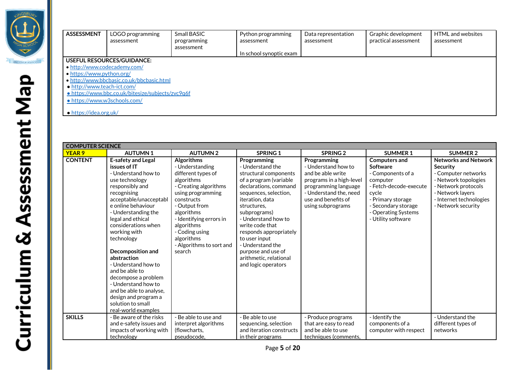

| <b>ASSESSMENT</b>              | LOGO programming<br>assessment                    | Small BASIC<br>programming<br>assessment | Python programming<br>assessment | Data representation<br>assessment | Graphic development<br>practical assessment | HTML and websites<br>assessment |
|--------------------------------|---------------------------------------------------|------------------------------------------|----------------------------------|-----------------------------------|---------------------------------------------|---------------------------------|
|                                |                                                   |                                          | In school synoptic exam          |                                   |                                             |                                 |
|                                | USEFUL RESOURCES/GUIDANCE:                        |                                          |                                  |                                   |                                             |                                 |
| • http://www.codecademy.com/   |                                                   |                                          |                                  |                                   |                                             |                                 |
| • https://www.python.org/      |                                                   |                                          |                                  |                                   |                                             |                                 |
|                                | • http://www.bbcbasic.co.uk/bbcbasic.html         |                                          |                                  |                                   |                                             |                                 |
| • http://www.teach-ict.com/    |                                                   |                                          |                                  |                                   |                                             |                                 |
|                                | · https://www.bbc.co.uk/bitesize/subjects/zvc9q6f |                                          |                                  |                                   |                                             |                                 |
| • https://www.w3schools.com/   |                                                   |                                          |                                  |                                   |                                             |                                 |
| $\bullet$ https://idea.org.uk/ |                                                   |                                          |                                  |                                   |                                             |                                 |

| <b>COMPUTER SCIENCE</b> |                                                                                                                                                                                                                                                                                                                                                                                                                                                                                                 |                                                                                                                                                                                                                                                                                    |                                                                                                                                                                                                                                                                                                                                                                        |                                                                                                                                                                                   |                                                                                                                                                                                                      |                                                                                                                                                                                    |  |
|-------------------------|-------------------------------------------------------------------------------------------------------------------------------------------------------------------------------------------------------------------------------------------------------------------------------------------------------------------------------------------------------------------------------------------------------------------------------------------------------------------------------------------------|------------------------------------------------------------------------------------------------------------------------------------------------------------------------------------------------------------------------------------------------------------------------------------|------------------------------------------------------------------------------------------------------------------------------------------------------------------------------------------------------------------------------------------------------------------------------------------------------------------------------------------------------------------------|-----------------------------------------------------------------------------------------------------------------------------------------------------------------------------------|------------------------------------------------------------------------------------------------------------------------------------------------------------------------------------------------------|------------------------------------------------------------------------------------------------------------------------------------------------------------------------------------|--|
| <b>YEAR 9</b>           | <b>AUTUMN1</b>                                                                                                                                                                                                                                                                                                                                                                                                                                                                                  | <b>AUTUMN2</b>                                                                                                                                                                                                                                                                     | <b>SPRING 1</b>                                                                                                                                                                                                                                                                                                                                                        | SPRING <sub>2</sub>                                                                                                                                                               | <b>SUMMER 1</b>                                                                                                                                                                                      | <b>SUMMER 2</b>                                                                                                                                                                    |  |
| <b>CONTENT</b>          | <b>E-safety and Legal</b><br>issues of IT<br>- Understand how to<br>use technology<br>responsibly and<br>recognising<br>acceptable/unacceptabl<br>e online behaviour<br>- Understanding the<br>legal and ethical<br>considerations when<br>working with<br>technology<br>Decomposition and<br>abstraction<br>- Understand how to<br>and be able to<br>decompose a problem<br>- Understand how to<br>and be able to analyse,<br>design and program a<br>solution to small<br>real-world examples | <b>Algorithms</b><br>- Understanding<br>different types of<br>algorithms<br>- Creating algorithms<br>using programming<br>constructs<br>- Output from<br>algorithms<br>- Identifying errors in<br>algorithms<br>- Coding using<br>algorithms<br>- Algorithms to sort and<br>search | Programming<br>- Understand the<br>structural components<br>of a program (variable<br>declarations, command<br>sequences, selection,<br>iteration, data<br>structures.<br>subprograms)<br>- Understand how to<br>write code that<br>responds appropriately<br>to user input<br>- Understand the<br>purpose and use of<br>arithmetic, relational<br>and logic operators | Programming<br>- Understand how to<br>and be able write<br>programs in a high-level<br>programming language<br>- Understand the, need<br>use and benefits of<br>using subprograms | <b>Computers and</b><br><b>Software</b><br>- Components of a<br>computer<br>- Fetch-decode-execute<br>cvcle<br>- Primary storage<br>- Secondary storage<br>- Operating Systems<br>- Utility software | <b>Networks and Network</b><br>Security<br>- Computer networks<br>- Network topologies<br>- Network protocols<br>- Network layers<br>- Internet technologies<br>- Network security |  |
| <b>SKILLS</b>           | - Be aware of the risks<br>and e-safety issues and<br>impacts of working with<br>technology                                                                                                                                                                                                                                                                                                                                                                                                     | - Be able to use and<br>interpret algorithms<br>(flowcharts,<br>pseudocode.                                                                                                                                                                                                        | - Be able to use<br>sequencing, selection<br>and iteration constructs<br>in their programs                                                                                                                                                                                                                                                                             | - Produce programs<br>that are easy to read<br>and be able to use<br>techniques (comments,                                                                                        | - Identify the<br>components of a<br>computer with respect                                                                                                                                           | - Understand the<br>different types of<br>networks                                                                                                                                 |  |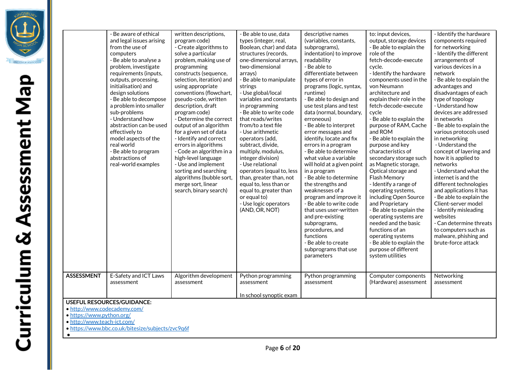|                                                                                                                                                                                                                            | - Be aware of ethical<br>and legal issues arising<br>from the use of<br>computers<br>- Be able to analyse a<br>problem, investigate<br>requirements (inputs,<br>outputs, processing,<br>initialisation) and<br>design solutions<br>- Be able to decompose<br>a problem into smaller<br>sub-problems<br>- Understand how<br>abstraction can be used<br>effectively to<br>model aspects of the<br>real world<br>- Be able to program<br>abstractions of<br>real-world examples | written descriptions,<br>program code)<br>- Create algorithms to<br>solve a particular<br>problem, making use of<br>programming<br>constructs (sequence,<br>selection, iteration) and<br>using appropriate<br>conventions (flowchart,<br>pseudo-code, written<br>description, draft<br>program code)<br>- Determine the correct<br>output of an algorithm<br>for a given set of data<br>- Identify and correct<br>errors in algorithms<br>- Code an algorithm in a<br>high-level language<br>- Use and implement<br>sorting and searching<br>algorithms (bubble sort,<br>merge sort, linear<br>search, binary search) | - Be able to use, data<br>types (integer, real,<br>Boolean, char) and data<br>structures (records,<br>one-dimensional arrays,<br>two-dimensional<br>arrays)<br>- Be able to manipulate<br>strings<br>- Use global/local<br>variables and constants<br>in programming<br>- Be able to write code<br>that reads/writes<br>from/to a text file<br>- Use arithmetic<br>operators (add,<br>subtract, divide,<br>multiply, modulus,<br>integer division)<br>- Use relational<br>operators (equal to, less<br>than, greater than, not<br>equal to, less than or<br>equal to, greater than<br>or equal to)<br>- Use logic operators<br>(AND, OR, NOT) | descriptive names<br>(variables, constants,<br>subprograms),<br>indentation) to improve<br>readability<br>- Be able to<br>differentiate between<br>types of error in<br>programs (logic, syntax,<br>runtime)<br>- Be able to design and<br>use test plans and test<br>data (normal, boundary,<br>erroneous)<br>- Be able to interpret<br>error messages and<br>identify, locate and fix<br>errors in a program<br>- Be able to determine<br>what value a variable<br>will hold at a given point<br>in a program<br>- Be able to determine<br>the strengths and<br>weaknesses of a<br>program and improve it<br>- Be able to write code<br>that uses user-written<br>and pre-existing<br>subprograms,<br>procedures, and<br>functions<br>- Be able to create<br>subprograms that use<br>parameters | to: input devices,<br>output, storage devices<br>- Be able to explain the<br>role of the<br>fetch-decode-execute<br>cvcle.<br>- Identify the hardware<br>components used in the<br>von Neumann<br>architecture and<br>explain their role in the<br>fetch-decode-execute<br>cycle<br>- Be able to explain the<br>purpose of RAM, Cache<br>and ROM<br>- Be able to explain the<br>purpose and key<br>characteristics of<br>secondary storage such<br>as Magnetic storage,<br>Optical storage and<br>Flash Memory<br>- Identify a range of<br>operating systems,<br>including Open Source<br>and Proprietary<br>- Be able to explain the<br>operating systems are<br>needed and the basic<br>functions of an<br>operating systems<br>- Be able to explain the<br>purpose of different<br>system utilities | - Identify the hardware<br>components required<br>for networking<br>- Identify the different<br>arrangements of<br>various devices in a<br>network<br>- Be able to explain the<br>advantages and<br>disadvantages of each<br>type of topology<br>- Understand how<br>devices are addressed<br>in networks<br>- Be able to explain the<br>various protocols used<br>in networking<br>- Understand the<br>concept of layering and<br>how it is applied to<br>networks<br>- Understand what the<br>internet is and the<br>different technologies<br>and applications it has<br>- Be able to explain the<br>Client-server model<br>- Identify misleading<br>websites<br>- Can determine threats<br>to computers such as<br>malware, phishing and<br>brute-force attack |  |
|----------------------------------------------------------------------------------------------------------------------------------------------------------------------------------------------------------------------------|------------------------------------------------------------------------------------------------------------------------------------------------------------------------------------------------------------------------------------------------------------------------------------------------------------------------------------------------------------------------------------------------------------------------------------------------------------------------------|-----------------------------------------------------------------------------------------------------------------------------------------------------------------------------------------------------------------------------------------------------------------------------------------------------------------------------------------------------------------------------------------------------------------------------------------------------------------------------------------------------------------------------------------------------------------------------------------------------------------------|-----------------------------------------------------------------------------------------------------------------------------------------------------------------------------------------------------------------------------------------------------------------------------------------------------------------------------------------------------------------------------------------------------------------------------------------------------------------------------------------------------------------------------------------------------------------------------------------------------------------------------------------------|---------------------------------------------------------------------------------------------------------------------------------------------------------------------------------------------------------------------------------------------------------------------------------------------------------------------------------------------------------------------------------------------------------------------------------------------------------------------------------------------------------------------------------------------------------------------------------------------------------------------------------------------------------------------------------------------------------------------------------------------------------------------------------------------------|--------------------------------------------------------------------------------------------------------------------------------------------------------------------------------------------------------------------------------------------------------------------------------------------------------------------------------------------------------------------------------------------------------------------------------------------------------------------------------------------------------------------------------------------------------------------------------------------------------------------------------------------------------------------------------------------------------------------------------------------------------------------------------------------------------|--------------------------------------------------------------------------------------------------------------------------------------------------------------------------------------------------------------------------------------------------------------------------------------------------------------------------------------------------------------------------------------------------------------------------------------------------------------------------------------------------------------------------------------------------------------------------------------------------------------------------------------------------------------------------------------------------------------------------------------------------------------------|--|
| <b>ASSESSMENT</b>                                                                                                                                                                                                          | E-Safety and ICT Laws<br>assessment                                                                                                                                                                                                                                                                                                                                                                                                                                          | Algorithm development<br>assessment                                                                                                                                                                                                                                                                                                                                                                                                                                                                                                                                                                                   | Python programming<br>assessment                                                                                                                                                                                                                                                                                                                                                                                                                                                                                                                                                                                                              | Python programming<br>assessment                                                                                                                                                                                                                                                                                                                                                                                                                                                                                                                                                                                                                                                                                                                                                                  | Computer components<br>(Hardware) assessment                                                                                                                                                                                                                                                                                                                                                                                                                                                                                                                                                                                                                                                                                                                                                           | Networking<br>assessment                                                                                                                                                                                                                                                                                                                                                                                                                                                                                                                                                                                                                                                                                                                                           |  |
| In school synoptic exam<br><b>USEFUL RESOURCES/GUIDANCE:</b><br>· http://www.codecademy.com/<br>· https://www.python.org/<br>· http://www.teach-ict.com/<br>· https://www.bbc.co.uk/bitesize/subjects/zvc9q6f<br>$\bullet$ |                                                                                                                                                                                                                                                                                                                                                                                                                                                                              |                                                                                                                                                                                                                                                                                                                                                                                                                                                                                                                                                                                                                       |                                                                                                                                                                                                                                                                                                                                                                                                                                                                                                                                                                                                                                               |                                                                                                                                                                                                                                                                                                                                                                                                                                                                                                                                                                                                                                                                                                                                                                                                   |                                                                                                                                                                                                                                                                                                                                                                                                                                                                                                                                                                                                                                                                                                                                                                                                        |                                                                                                                                                                                                                                                                                                                                                                                                                                                                                                                                                                                                                                                                                                                                                                    |  |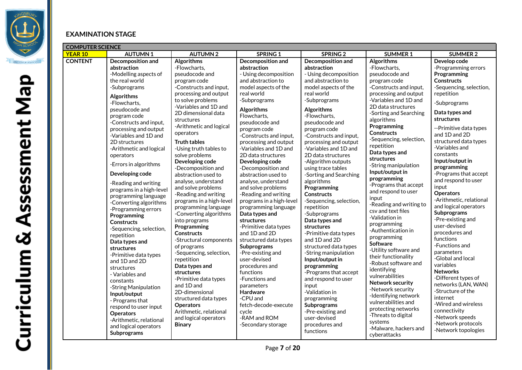

#### **EXAMINATION STAGE**

|                                  | <b>COMPUTER SCIENCE</b>                                                                                                                                                                                                                                                                                                                                                                                                                                                                                                                                                                                                                                                                                       |                                                                                                                                                                                                                                                                                                                                                                                                                                                                                                                                                                                                                                                                                                                                                       |                                                                                                                                                                                                                                                                                                                                                                                                                                                                                                                                                                                                                                                                                                                                     |                                                                                                                                                                                                                                                                                                                                                                                                                                                                                                                                                                                                                                                                                                                |                                                                                                                                                                                                                                                                                                                                                                                                                                                                                                                                                                                                                                                                                                         |                                                                                                                                                                                                                                                                                                                                                                                                                                                                                                                                                                                                                                                                     |  |  |  |
|----------------------------------|---------------------------------------------------------------------------------------------------------------------------------------------------------------------------------------------------------------------------------------------------------------------------------------------------------------------------------------------------------------------------------------------------------------------------------------------------------------------------------------------------------------------------------------------------------------------------------------------------------------------------------------------------------------------------------------------------------------|-------------------------------------------------------------------------------------------------------------------------------------------------------------------------------------------------------------------------------------------------------------------------------------------------------------------------------------------------------------------------------------------------------------------------------------------------------------------------------------------------------------------------------------------------------------------------------------------------------------------------------------------------------------------------------------------------------------------------------------------------------|-------------------------------------------------------------------------------------------------------------------------------------------------------------------------------------------------------------------------------------------------------------------------------------------------------------------------------------------------------------------------------------------------------------------------------------------------------------------------------------------------------------------------------------------------------------------------------------------------------------------------------------------------------------------------------------------------------------------------------------|----------------------------------------------------------------------------------------------------------------------------------------------------------------------------------------------------------------------------------------------------------------------------------------------------------------------------------------------------------------------------------------------------------------------------------------------------------------------------------------------------------------------------------------------------------------------------------------------------------------------------------------------------------------------------------------------------------------|---------------------------------------------------------------------------------------------------------------------------------------------------------------------------------------------------------------------------------------------------------------------------------------------------------------------------------------------------------------------------------------------------------------------------------------------------------------------------------------------------------------------------------------------------------------------------------------------------------------------------------------------------------------------------------------------------------|---------------------------------------------------------------------------------------------------------------------------------------------------------------------------------------------------------------------------------------------------------------------------------------------------------------------------------------------------------------------------------------------------------------------------------------------------------------------------------------------------------------------------------------------------------------------------------------------------------------------------------------------------------------------|--|--|--|
|                                  | <b>AUTUMN1</b>                                                                                                                                                                                                                                                                                                                                                                                                                                                                                                                                                                                                                                                                                                | <b>AUTUMN2</b>                                                                                                                                                                                                                                                                                                                                                                                                                                                                                                                                                                                                                                                                                                                                        | <b>SPRING 1</b>                                                                                                                                                                                                                                                                                                                                                                                                                                                                                                                                                                                                                                                                                                                     | SPRING <sub>2</sub>                                                                                                                                                                                                                                                                                                                                                                                                                                                                                                                                                                                                                                                                                            | <b>SUMMER 1</b>                                                                                                                                                                                                                                                                                                                                                                                                                                                                                                                                                                                                                                                                                         | <b>SUMMER 2</b>                                                                                                                                                                                                                                                                                                                                                                                                                                                                                                                                                                                                                                                     |  |  |  |
| <b>YEAR 10</b><br><b>CONTENT</b> | <b>Decomposition and</b><br>abstraction<br>-Modelling aspects of<br>the real world<br>-Subprograms<br>Algorithms<br>-Flowcharts,<br>pseudocode and<br>program code<br>-Constructs and input,<br>processing and output<br>-Variables and 1D and<br>2D structures<br>-Arithmetic and logical<br>operators<br>-Errors in algorithms<br>Developing code<br>-Reading and writing<br>programs in a high-level<br>programming language<br>-Converting algorithms<br>-Programming errors<br>Programming<br><b>Constructs</b><br>-Sequencing, selection,<br>repetition<br>Data types and<br>structures<br>-Primitive data types<br>and 1D and 2D<br>structures<br>- Variables and<br>constants<br>-String Manipulation | <b>Algorithms</b><br>-Flowcharts,<br>pseudocode and<br>program code<br>-Constructs and input,<br>processing and output<br>to solve problems<br>-Variables and 1D and<br>2D dimensional data<br>structures<br>-Arithmetic and logical<br>operators<br><b>Truth tables</b><br>-Using truth tables to<br>solve problems<br>Developing code<br>-Decomposition and<br>abstraction used to<br>analyse, understand<br>and solve problems<br>-Reading and writing<br>programs in a high-level<br>programming language<br>-Converting algorithms<br>into programs<br>Programming<br><b>Constructs</b><br>-Structural components<br>of programs<br>-Sequencing, selection,<br>repetition<br>Data types and<br>structures<br>-Primitive data types<br>and 1D and | Decomposition and<br>abstraction<br>- Using decomposition<br>and abstraction to<br>model aspects of the<br>real world<br>-Subprograms<br><b>Algorithms</b><br>Flowcharts,<br>pseudocode and<br>program code<br>-Constructs and input,<br>processing and output<br>-Variables and 1D and<br>2D data structures<br>Developing code<br>-Decomposition and<br>abstraction used to<br>analyse, understand<br>and solve problems<br>-Reading and writing<br>programs in a high-level<br>programming language<br>Data types and<br>structures<br>-Primitive data types<br>and 1D and 2D<br>structured data types<br><b>Subprograms</b><br>-Pre-existing and<br>user-devised<br>procedures and<br>functions<br>-Functions and<br>parameters | Decomposition and<br>abstraction<br>- Using decomposition<br>and abstraction to<br>model aspects of the<br>real world<br>-Subprograms<br>Algorithms<br>-Flowcharts,<br>pseudocode and<br>program code<br>-Constructs and input,<br>processing and output<br>-Variables and 1D and<br>2D data structures<br>-Algorithm outputs<br>using trace tables<br>-Sorting and Searching<br>algorithms<br>Programming<br><b>Constructs</b><br>-Sequencing, selection,<br>repetition<br>-Subprograms<br>Data types and<br>structures<br>-Primitive data types<br>and 1D and 2D<br>structured data types<br>-String manipulation<br>Input/output in<br>programming<br>-Programs that accept<br>and respond to user<br>input | Algorithms<br>-Flowcharts,<br>pseudocode and<br>program code<br>-Constructs and input,<br>processing and output<br>-Variables and 1D and<br>2D data structures<br>-Sorting and Searching<br>algorithms<br>Programming<br><b>Constructs</b><br>-Sequencing, selection,<br>repetition<br>Data types and<br>structures<br>-String manipulation<br>Input/output in<br>programming<br>-Programs that accept<br>and respond to user<br>input<br>-Reading and writing to<br>csy and text files<br>-Validation in<br>programming<br>-Authentication in<br>programming<br>Software<br>-Utility software and<br>their functionality<br>-Robust software and<br>identifying<br>vulnerabilities<br>Network security | Develop code<br>-Programming errors<br>Programming<br><b>Constructs</b><br>-Sequencing, selection,<br>repetition<br>-Subprograms<br>Data types and<br>structures<br>--Primitive data types<br>and 1D and 2D<br>structured data types<br>-Variables and<br>constants<br>Input/output in<br>programming<br>-Programs that accept<br>and respond to user<br>input<br><b>Operators</b><br>-Arithmetic, relational<br>and logical operators<br><b>Subprograms</b><br>-Pre-existing and<br>user-devised<br>procedures and<br>functions<br>-Functions and<br>parameters<br>-Global and local<br>variables<br><b>Networks</b><br>-Different types of<br>networks (LAN, WAN) |  |  |  |
|                                  |                                                                                                                                                                                                                                                                                                                                                                                                                                                                                                                                                                                                                                                                                                               |                                                                                                                                                                                                                                                                                                                                                                                                                                                                                                                                                                                                                                                                                                                                                       |                                                                                                                                                                                                                                                                                                                                                                                                                                                                                                                                                                                                                                                                                                                                     |                                                                                                                                                                                                                                                                                                                                                                                                                                                                                                                                                                                                                                                                                                                |                                                                                                                                                                                                                                                                                                                                                                                                                                                                                                                                                                                                                                                                                                         |                                                                                                                                                                                                                                                                                                                                                                                                                                                                                                                                                                                                                                                                     |  |  |  |
|                                  | Input/output<br>- Programs that<br>respond to user input<br><b>Operators</b><br>-Arithmetic, relational<br>and logical operators<br>Subprograms                                                                                                                                                                                                                                                                                                                                                                                                                                                                                                                                                               | 2D-dimensional<br>structured data types<br><b>Operators</b><br>Arithmetic, relational<br>and logical operators<br><b>Binary</b>                                                                                                                                                                                                                                                                                                                                                                                                                                                                                                                                                                                                                       | <b>Hardware</b><br>-CPU and<br>fetch-decode-execute<br>cycle<br>-RAM and ROM<br>-Secondary storage                                                                                                                                                                                                                                                                                                                                                                                                                                                                                                                                                                                                                                  | -Validation in<br>programming<br>Subprograms<br>-Pre-existing and<br>user-devised<br>procedures and<br>functions                                                                                                                                                                                                                                                                                                                                                                                                                                                                                                                                                                                               | -Network security<br>-Identifying network<br>vulnerabilities and<br>protecting networks<br>-Threats to digital<br>systems<br>-Malware, hackers and<br>cyberattacks                                                                                                                                                                                                                                                                                                                                                                                                                                                                                                                                      | -Structure of the<br>internet<br>-Wired and wireless<br>connectivity<br>-Network speeds<br>-Network protocols<br>-Network topologies                                                                                                                                                                                                                                                                                                                                                                                                                                                                                                                                |  |  |  |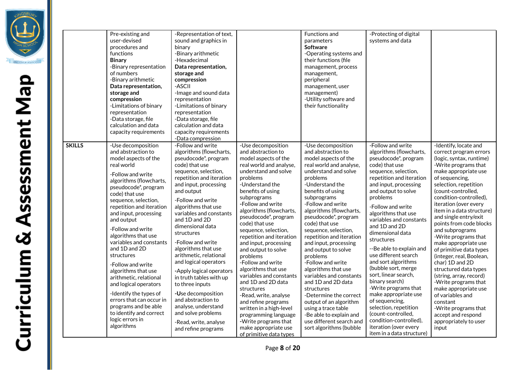|               | Pre-existing and<br>user-devised<br>procedures and<br>functions<br><b>Binary</b><br>-Binary representation<br>of numbers<br>-Binary arithmetic<br>Data representation,<br>storage and<br>compression<br>-Limitations of binary<br>representation<br>-Data storage, file<br>calculation and data<br>capacity requirements                                                                                                                                                                                                                                                                                           | -Representation of text,<br>sound and graphics in<br>binary<br>-Binary arithmetic<br>-Hexadecimal<br>Data representation,<br>storage and<br>compression<br>-ASCII<br>-Image and sound data<br>representation<br>-Limitations of binary<br>representation<br>-Data storage, file<br>calculation and data<br>capacity requirements<br>-Data compression                                                                                                                                                                                                                                                                         |                                                                                                                                                                                                                                                                                                                                                                                                                                                                                                                                                                                                                                                                                           | Functions and<br>parameters<br><b>Software</b><br>-Operating systems and<br>their functions (file<br>management, process<br>management,<br>peripheral<br>management, user<br>management)<br>-Utility software and<br>their functionality                                                                                                                                                                                                                                                                                                                                                                                                                                 | -Protecting of digital<br>systems and data                                                                                                                                                                                                                                                                                                                                                                                                                                                                                                                                                                                                                                    |                                                                                                                                                                                                                                                                                                                                                                                                                                                                                                                                                                                                                                                                                                   |
|---------------|--------------------------------------------------------------------------------------------------------------------------------------------------------------------------------------------------------------------------------------------------------------------------------------------------------------------------------------------------------------------------------------------------------------------------------------------------------------------------------------------------------------------------------------------------------------------------------------------------------------------|-------------------------------------------------------------------------------------------------------------------------------------------------------------------------------------------------------------------------------------------------------------------------------------------------------------------------------------------------------------------------------------------------------------------------------------------------------------------------------------------------------------------------------------------------------------------------------------------------------------------------------|-------------------------------------------------------------------------------------------------------------------------------------------------------------------------------------------------------------------------------------------------------------------------------------------------------------------------------------------------------------------------------------------------------------------------------------------------------------------------------------------------------------------------------------------------------------------------------------------------------------------------------------------------------------------------------------------|--------------------------------------------------------------------------------------------------------------------------------------------------------------------------------------------------------------------------------------------------------------------------------------------------------------------------------------------------------------------------------------------------------------------------------------------------------------------------------------------------------------------------------------------------------------------------------------------------------------------------------------------------------------------------|-------------------------------------------------------------------------------------------------------------------------------------------------------------------------------------------------------------------------------------------------------------------------------------------------------------------------------------------------------------------------------------------------------------------------------------------------------------------------------------------------------------------------------------------------------------------------------------------------------------------------------------------------------------------------------|---------------------------------------------------------------------------------------------------------------------------------------------------------------------------------------------------------------------------------------------------------------------------------------------------------------------------------------------------------------------------------------------------------------------------------------------------------------------------------------------------------------------------------------------------------------------------------------------------------------------------------------------------------------------------------------------------|
| <b>SKILLS</b> | -Use decomposition<br>and abstraction to<br>model aspects of the<br>real world<br>-Follow and write<br>algorithms (flowcharts,<br>pseudocode*, program<br>code) that use<br>sequence, selection,<br>repetition and iteration<br>and input, processing<br>and output<br>-Follow and write<br>algorithms that use<br>variables and constants<br>and 1D and 2D<br>structures<br>-Follow and write<br>algorithms that use<br>arithmetic, relational<br>and logical operators<br>-Identify the types of<br>errors that can occur in<br>programs and be able<br>to identify and correct<br>logic errors in<br>algorithms | -Follow and write<br>algorithms (flowcharts,<br>pseudocode*, program<br>code) that use<br>sequence, selection,<br>repetition and iteration<br>and input, processing<br>and output<br>-Follow and write<br>algorithms that use<br>variables and constants<br>and 1D and 2D<br>dimensional data<br>structures<br>-Follow and write<br>algorithms that use<br>arithmetic, relational<br>and logical operators<br>-Apply logical operators<br>in truth tables with up<br>to three inputs<br>-Use decomposition<br>and abstraction to<br>analyse, understand<br>and solve problems<br>-Read, write, analyse<br>and refine programs | -Use decomposition<br>and abstraction to<br>model aspects of the<br>real world and analyse,<br>understand and solve<br>problems<br>-Understand the<br>benefits of using<br>subprograms<br>-Follow and write<br>algorithms (flowcharts,<br>pseudocode*, program<br>code) that use<br>sequence, selection,<br>repetition and iteration<br>and input, processing<br>and output to solve<br>problems<br>-Follow and write<br>algorithms that use<br>variables and constants<br>and 1D and 2D data<br>structures<br>-Read, write, analyse<br>and refine programs<br>written in a high-level<br>programming language<br>-Write programs that<br>make appropriate use<br>of primitive data types | -Use decomposition<br>and abstraction to<br>model aspects of the<br>real world and analyse,<br>understand and solve<br>problems<br>-Understand the<br>benefits of using<br>subprograms<br>-Follow and write<br>algorithms (flowcharts,<br>pseudocode*, program<br>code) that use<br>sequence, selection,<br>repetition and iteration<br>and input, processing<br>and output to solve<br>problems<br>-Follow and write<br>algorithms that use<br>variables and constants<br>and 1D and 2D data<br>structures<br>-Determine the correct<br>output of an algorithm<br>using a trace table<br>-Be able to explain and<br>use different search and<br>sort algorithms (bubble | -Follow and write<br>algorithms (flowcharts,<br>pseudocode*, program<br>code) that use<br>sequence, selection,<br>repetition and iteration<br>and input, processing<br>and output to solve<br>problems<br>-Follow and write<br>algorithms that use<br>variables and constants<br>and 1D and 2D<br>dimensional data<br>structures<br>--Be able to explain and<br>use different search<br>and sort algorithms<br>(bubble sort, merge<br>sort, linear search,<br>binary search)<br>-Write programs that<br>make appropriate use<br>of sequencing,<br>selection, repetition<br>(count-controlled,<br>condition-controlled),<br>iteration (over every<br>item in a data structure) | -Identify, locate and<br>correct program errors<br>(logic, syntax, runtime)<br>-Write programs that<br>make appropriate use<br>of sequencing,<br>selection, repetition<br>(count-controlled,<br>condition-controlled),<br>iteration (over every<br>item in a data structure)<br>and single entry/exit<br>points from code blocks<br>and subprograms<br>-Write programs that<br>make appropriate use<br>of primitive data types<br>(integer, real, Boolean,<br>char) 1D and 2D<br>structured data types<br>(string, array, record)<br>-Write programs that<br>make appropriate use<br>of variables and<br>constant<br>-Write programs that<br>accept and respond<br>appropriately to user<br>input |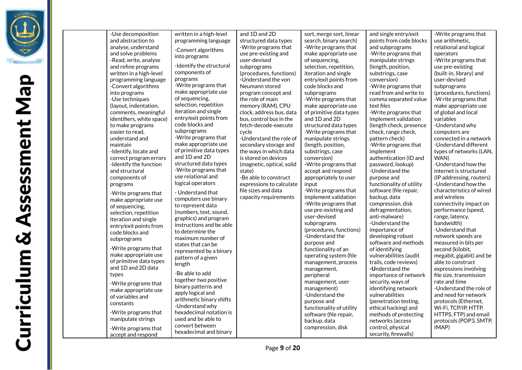

| -Use decomposition<br>and abstraction to<br>analyse, understand<br>and solve problems<br>-Read, write, analyse<br>and refine programs<br>written in a high-level<br>programming language<br>-Convert algorithms<br>into programs<br>-Use techniques<br>(layout, indentation,<br>comments, meaningful<br>identifiers, white space)<br>to make programs<br>easier to read.<br>understand and<br>maintain<br>-Identify, locate and<br>correct program errors<br>-Identify the function<br>and structural<br>components of<br>programs<br>-Write programs that<br>make appropriate use<br>of sequencing,<br>selection, repetition<br>iteration and single<br>entry/exit points from<br>code blocks and<br>subprograms<br>-Write programs that<br>make appropriate use<br>of primitive data types<br>and 1D and 2D data<br>types<br>-Write programs that<br>make appropriate use<br>of variables and<br>constants<br>-Write programs that<br>manipulate strings<br>-Write programs that<br>accept and respond | written in a high-level<br>programming language<br>-Convert algorithms<br>into programs<br>-Identify the structural<br>components of<br>programs<br>-Write programs that<br>make appropriate use<br>of sequencing.<br>selection, repetition<br>iteration and single<br>entry/exit points from<br>code blocks and<br>subprograms<br>-Write programs that<br>make appropriate use<br>of primitive data types<br>and 1D and 2D<br>structured data types<br>-Write programs that<br>use relational and<br>logical operators<br>- Understand that<br>computers use binary<br>to represent data<br>(numbers, text, sound,<br>graphics) and program<br>instructions and be able<br>to determine the<br>maximum number of<br>states that can be<br>represented by a binary<br>pattern of a given<br>length<br>-Be able to add<br>together two positive<br>binary patterns and<br>apply logical and<br>arithmetic binary shifts<br>-Understand why<br>hexadecimal notation is<br>used and be able to<br>convert between<br>hexadecimal and binary | and 1D and 2D<br>structured data types<br>-Write programs that<br>use pre-existing and<br>user-devised<br>subprograms<br>(procedures, functions)<br>-Understand the von<br>Neumann stored<br>program concept and<br>the role of main<br>memory (RAM), CPU<br>clock, address bus, data<br>bus, control bus in the<br>fetch-decode-execute<br>cycle<br>-Understand the role of<br>secondary storage and<br>the ways in which data<br>is stored on devices<br>(magnetic, optical, solid<br>state)<br>-Be able to construct<br>expressions to calculate<br>file sizes and data<br>capacity requirements | sort, merge sort, linear<br>search, binary search)<br>-Write programs that<br>make appropriate use<br>of sequencing,<br>selection, repetition,<br>iteration and single<br>entry/exit points from<br>code blocks and<br>subprograms<br>-Write programs that<br>make appropriate use<br>of primitive data types<br>and 1D and 2D<br>structured data types<br>-Write programs that<br>manipulate strings<br>(length, position,<br>substrings, case<br>conversion)<br>-Write programs that<br>accept and respond<br>appropriately to user<br>input<br>-Write programs that<br>implement validation<br>-Write programs that<br>use pre-existing and<br>user-devised<br>subprograms<br>(procedures, functions)<br>-Understand the<br>purpose and<br>functionality of an<br>operating system (file<br>management, process<br>management,<br>peripheral<br>management, user<br>management)<br>-Understand the<br>purpose and<br>functionality of utility<br>software (file repair,<br>backup, data<br>compression, disk | and single entry/exit<br>points from code blocks<br>and subprograms<br>-Write programs that<br>manipulate strings<br>(length, position,<br>substrings, case<br>conversion)<br>-Write programs that<br>read from and write to<br>comma separated value<br>text files<br>-Write programs that<br>implement validation<br>(length check, presence)<br>check, range check,<br>pattern check)<br>-Write programs that<br>implement<br>authentication (ID and<br>password, lookup)<br>-Understand the<br>purpose and<br>functionality of utility<br>software (file repair,<br>backup, data<br>compression, disk<br>defragmentation,<br>anti-malware)<br>-Understand the<br>importance of<br>developing robust<br>software and methods<br>of identifying<br>vulnerabilities (audit<br>trails, code reviews)<br>-Understand the<br>importance of network<br>security, ways of<br>identifying network<br>vulnerabilities<br>(penetration testing,<br>ethical hacking) and<br>methods of protecting<br>networks (access<br>control, physical<br>security, firewalls) | -Write programs that<br>use arithmetic.<br>relational and logical<br>operators<br>-Write programs that<br>use pre-existing<br>(built-in, library) and<br>user-devised<br>subprograms<br>(procedures, functions)<br>-W rite programs that<br>make appropriate use<br>of global and local<br>variables<br>-Understand why<br>computers are<br>connected in a network<br>-Understand different<br>types of networks (LAN,<br>WAN)<br>-Understand how the<br>internet is structured<br>(IP addressing, routers)<br>-Understand how the<br>characteristics of wired<br>and wireless<br>connectivity impact on<br>performance (speed,<br>range, latency,<br>bandwidth)<br>-Understand that<br>network speeds are<br>measured in bits per<br>second (kilobit,<br>megabit, gigabit) and be<br>able to construct<br>expressions involving<br>file size, transmission<br>rate and time<br>-Understand the role of<br>and need for network<br>protocols (Ethernet,<br>Wi-Fi, TCP/IP, HTTP,<br>HTTPS, FTP) and email<br>protocols (POP3, SMTP,<br>IMAP) |
|----------------------------------------------------------------------------------------------------------------------------------------------------------------------------------------------------------------------------------------------------------------------------------------------------------------------------------------------------------------------------------------------------------------------------------------------------------------------------------------------------------------------------------------------------------------------------------------------------------------------------------------------------------------------------------------------------------------------------------------------------------------------------------------------------------------------------------------------------------------------------------------------------------------------------------------------------------------------------------------------------------|------------------------------------------------------------------------------------------------------------------------------------------------------------------------------------------------------------------------------------------------------------------------------------------------------------------------------------------------------------------------------------------------------------------------------------------------------------------------------------------------------------------------------------------------------------------------------------------------------------------------------------------------------------------------------------------------------------------------------------------------------------------------------------------------------------------------------------------------------------------------------------------------------------------------------------------------------------------------------------------------------------------------------------------|-----------------------------------------------------------------------------------------------------------------------------------------------------------------------------------------------------------------------------------------------------------------------------------------------------------------------------------------------------------------------------------------------------------------------------------------------------------------------------------------------------------------------------------------------------------------------------------------------------|-----------------------------------------------------------------------------------------------------------------------------------------------------------------------------------------------------------------------------------------------------------------------------------------------------------------------------------------------------------------------------------------------------------------------------------------------------------------------------------------------------------------------------------------------------------------------------------------------------------------------------------------------------------------------------------------------------------------------------------------------------------------------------------------------------------------------------------------------------------------------------------------------------------------------------------------------------------------------------------------------------------------|------------------------------------------------------------------------------------------------------------------------------------------------------------------------------------------------------------------------------------------------------------------------------------------------------------------------------------------------------------------------------------------------------------------------------------------------------------------------------------------------------------------------------------------------------------------------------------------------------------------------------------------------------------------------------------------------------------------------------------------------------------------------------------------------------------------------------------------------------------------------------------------------------------------------------------------------------------------------------------------------------------------------------------------------------------|---------------------------------------------------------------------------------------------------------------------------------------------------------------------------------------------------------------------------------------------------------------------------------------------------------------------------------------------------------------------------------------------------------------------------------------------------------------------------------------------------------------------------------------------------------------------------------------------------------------------------------------------------------------------------------------------------------------------------------------------------------------------------------------------------------------------------------------------------------------------------------------------------------------------------------------------------------------------------------------------------------------------------------------------|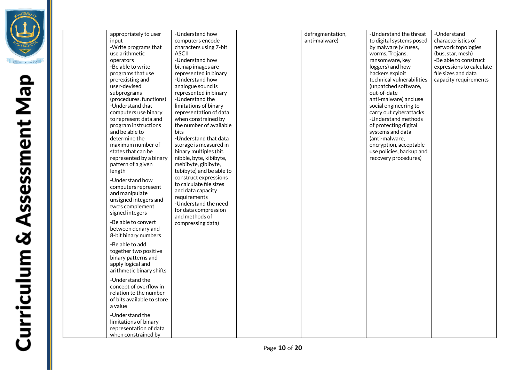

appropriately to user input -Write programs that use arithmetic operators -Be able to write programs that use pre-existing and user-devised subprograms (procedures, functions) -Understand that computers use binary to represent data and program instructions and be able to determine the maximum number of states that can be represented by a binary pattern of a given length -Understand how computers represent and manipulate unsigned integers and two's complement signed integers -Be able to convert between denary and 8-bit binary numbers -Be able to add together two positive binary patterns and apply logical and arithmetic binary shifts -Understand the concept of overflow in relation to the number of bits available to store a value -Understand the limitations of binary representation of data when constrained by -Understand how computers encode characters using 7-bit ASCII -Understand how bitmap images are represented in binary -Understand how analogue sound is represented in binary -Understand the limitations of binary representation of data when constrained by the number of available bits **-U**nderstand that data storage is measured in binary multiples (bit, nibble, byte, kibibyte, mebibyte, gibibyte, tebibyte) and be able to construct expressions to calculate file sizes and data capacity requirements -Understand the need for data compression and methods of compressing data) defragmentation, anti-malware) **-U**nderstand the threat to digital systems posed by malware (viruses, worms, Trojans, ransomware, key loggers) and how hackers exploit technical vulnerabilities (unpatched software, out-of-date anti-malware) and use social engineering to carry out cyberattacks -Understand methods of protecting digital systems and data (anti-malware, encryption, acceptable use policies, backup and recovery procedures) -Understand characteristics of network topologies (bus, star, mesh) **-**Be able to construct expressions to calculate file sizes and data capacity requirements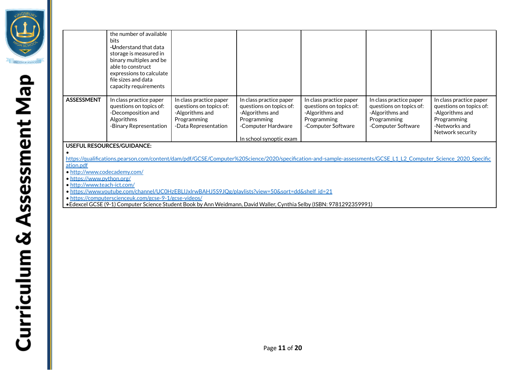|                   | the number of available<br><b>bits</b><br>-Understand that data<br>storage is measured in<br>binary multiples and be<br>able to construct<br>expressions to calculate<br>file sizes and data<br>capacity requirements |                                                                                                              |                                                                                                                                       |                                                                                                            |                                                                                                            |                                                                                                                           |
|-------------------|-----------------------------------------------------------------------------------------------------------------------------------------------------------------------------------------------------------------------|--------------------------------------------------------------------------------------------------------------|---------------------------------------------------------------------------------------------------------------------------------------|------------------------------------------------------------------------------------------------------------|------------------------------------------------------------------------------------------------------------|---------------------------------------------------------------------------------------------------------------------------|
| <b>ASSESSMENT</b> | In class practice paper<br>questions on topics of:<br>-Decomposition and<br>Algorithms<br>-Binary Representation                                                                                                      | In class practice paper<br>questions on topics of:<br>-Algorithms and<br>Programming<br>-Data Representation | In class practice paper<br>questions on topics of:<br>-Algorithms and<br>Programming<br>-Computer Hardware<br>In school synoptic exam | In class practice paper<br>questions on topics of:<br>-Algorithms and<br>Programming<br>-Computer Software | In class practice paper<br>questions on topics of:<br>-Algorithms and<br>Programming<br>-Computer Software | In class practice paper<br>questions on topics of:<br>-Algorithms and<br>Programming<br>-Networks and<br>Network security |
|                   | <b>LICEELIL DECOLIDAES/CLUDANICE.</b>                                                                                                                                                                                 |                                                                                                              |                                                                                                                                       |                                                                                                            |                                                                                                            |                                                                                                                           |

**USEFUL RESOURCES/GUIDANCE:**

•

https://qualifications.pearson.com/content/dam/pdf/GCSE/Computer%20Science/2020/specification-and-sample-assessments/GCSE\_L1\_L2\_Computer\_Science\_2020\_Specific ation.pdf

• <http://www.codecademy.com/>

• <https://www.python.org/>

• <http://www.teach-ict.com/>

• [https://www.youtube.com/channel/UC0HzEBLlJxlrwBAHJ5S9JQg/playlists?view=50&sort=dd&shelf\\_id=21](https://www.youtube.com/channel/UC0HzEBLlJxlrwBAHJ5S9JQg/playlists?view=50&sort=dd&shelf_id=21)

• <https://computerscienceuk.com/gcse-9-1/gcse-videos/>

•Edexcel GCSE (9-1) Computer Science Student Book by Ann Weidmann, David Waller, Cynthia Selby (ISBN: 9781292359991)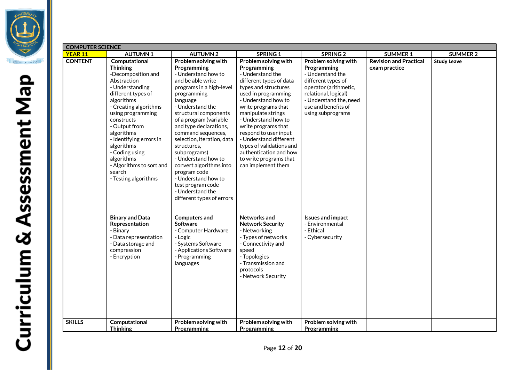

| <b>COMPUTER SCIENCE</b> |                                 |                                                  |                                           |                          |                               |                    |  |
|-------------------------|---------------------------------|--------------------------------------------------|-------------------------------------------|--------------------------|-------------------------------|--------------------|--|
| <b>YEAR 11</b>          | <b>AUTUMN1</b>                  | <b>AUTUMN2</b>                                   | <b>SPRING 1</b>                           | <b>SPRING 2</b>          | <b>SUMMER 1</b>               | <b>SUMMER 2</b>    |  |
| <b>CONTENT</b>          | Computational                   | Problem solving with                             | Problem solving with                      | Problem solving with     | <b>Revision and Practical</b> | <b>Study Leave</b> |  |
|                         | <b>Thinking</b>                 | Programming                                      | Programming                               | Programming              | exam practice                 |                    |  |
|                         | -Decomposition and              | - Understand how to                              | - Understand the                          | - Understand the         |                               |                    |  |
|                         | Abstraction                     | and be able write                                | different types of data                   | different types of       |                               |                    |  |
|                         | - Understanding                 | programs in a high-level                         | types and structures                      | operator (arithmetic,    |                               |                    |  |
|                         | different types of              | programming                                      | used in programming                       | relational, logical)     |                               |                    |  |
|                         | algorithms                      | language                                         | - Understand how to                       | - Understand the, need   |                               |                    |  |
|                         | - Creating algorithms           | - Understand the                                 | write programs that                       | use and benefits of      |                               |                    |  |
|                         | using programming<br>constructs | structural components                            | manipulate strings<br>- Understand how to | using subprograms        |                               |                    |  |
|                         | - Output from                   | of a program (variable<br>and type declarations, | write programs that                       |                          |                               |                    |  |
|                         | algorithms                      | command sequences,                               | respond to user input                     |                          |                               |                    |  |
|                         | - Identifying errors in         | selection, iteration, data                       | - Understand different                    |                          |                               |                    |  |
|                         | algorithms                      | structures.                                      | types of validations and                  |                          |                               |                    |  |
|                         | - Coding using                  | subprograms)                                     | authentication and how                    |                          |                               |                    |  |
|                         | algorithms                      | - Understand how to                              | to write programs that                    |                          |                               |                    |  |
|                         | - Algorithms to sort and        | convert algorithms into                          | can implement them                        |                          |                               |                    |  |
|                         | search                          | program code                                     |                                           |                          |                               |                    |  |
|                         | - Testing algorithms            | - Understand how to                              |                                           |                          |                               |                    |  |
|                         |                                 | test program code                                |                                           |                          |                               |                    |  |
|                         |                                 | - Understand the                                 |                                           |                          |                               |                    |  |
|                         |                                 | different types of errors                        |                                           |                          |                               |                    |  |
|                         |                                 |                                                  |                                           |                          |                               |                    |  |
|                         | <b>Binary and Data</b>          | <b>Computers and</b>                             | Networks and                              | <b>Issues and impact</b> |                               |                    |  |
|                         | Representation                  | <b>Software</b>                                  | <b>Network Security</b>                   | - Environmental          |                               |                    |  |
|                         | - Binary                        | - Computer Hardware                              | - Networking                              | - Ethical                |                               |                    |  |
|                         | - Data representation           | - Logic                                          | - Types of networks                       | - Cybersecurity          |                               |                    |  |
|                         | - Data storage and              | - Systems Software                               | - Connectivity and                        |                          |                               |                    |  |
|                         | compression                     | - Applications Software                          | speed                                     |                          |                               |                    |  |
|                         | - Encryption                    | - Programming                                    | - Topologies                              |                          |                               |                    |  |
|                         |                                 | languages                                        | - Transmission and                        |                          |                               |                    |  |
|                         |                                 |                                                  | protocols                                 |                          |                               |                    |  |
|                         |                                 |                                                  | - Network Security                        |                          |                               |                    |  |
|                         |                                 |                                                  |                                           |                          |                               |                    |  |
|                         |                                 |                                                  |                                           |                          |                               |                    |  |
|                         |                                 |                                                  |                                           |                          |                               |                    |  |
|                         |                                 |                                                  |                                           |                          |                               |                    |  |
|                         |                                 |                                                  |                                           |                          |                               |                    |  |
| <b>SKILLS</b>           | Computational                   | Problem solving with                             | Problem solving with                      | Problem solving with     |                               |                    |  |
|                         | <b>Thinking</b>                 | Programming                                      | Programming                               | Programming              |                               |                    |  |
|                         |                                 |                                                  |                                           |                          |                               |                    |  |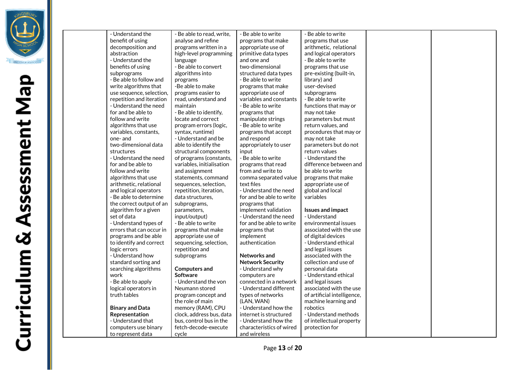

- Understand the benefit of using decomposition and abstraction - Understand the benefits of using subprograms - Be able to follow and write algorithms that use sequence, selection, repetition and iteration - Understand the need for and be able to follow and write algorithms that use variables, constants, one- and two-dimensional data structures - Understand the need for and be able to follow and write algorithms that use arithmetic, relational and logical operators - Be able to determine the correct output of an algorithm for a given set of data - Understand types of errors that can occur in programs and be able to identify and correct logic errors - Understand how standard sorting and searching algorithms work - Be able to apply logical operators in truth tables **Binary and Data Representation** - Understand that computers use binary to represent data - Be able to read, write, analyse and refine programs written in a high-level programming language - Be able to convert algorithms into programs -Be able to make programs easier to read, understand and maintain - Be able to identify, locate and correct program errors (logic, syntax, runtime) - Understand and be able to identify the structural components of programs (constants, variables, initialisation and assignment statements, command sequences, selection, repetition, iteration, data structures, subprograms, parameters, input/output) - Be able to write programs that make appropriate use of sequencing, selection, repetition and subprograms **Computers and Software** - Understand the von Neumann stored program concept and the role of main memory (RAM), CPU clock, address bus, data bus, control bus in the fetch-decode-execute cycle - Be able to write programs that make appropriate use of primitive data types and one and two-dimensional structured data types - Be able to write programs that make appropriate use of variables and constants - Be able to write programs that manipulate strings - Be able to write programs that accept and respond appropriately to user input - Be able to write programs that read from and write to comma separated value text files - Understand the need for and be able to write programs that implement validation - Understand the need for and be able to write programs that implement authentication **Networks and Network Security** - Understand why computers are connected in a network - Understand different types of networks (LAN, WAN) - Understand how the internet is structured - Understand how the characteristics of wired and wireless - Be able to write programs that use arithmetic, relational and logical operators - Be able to write programs that use pre-existing (built-in, library) and user-devised subprograms - Be able to write functions that may or may not take parameters but must return values, and procedures that may or may not take parameters but do not return values - Understand the difference between and be able to write programs that make appropriate use of global and local variables **Issues and impact** - Understand environmental issues associated with the use of digital devices - Understand ethical and legal issues associated with the collection and use of personal data - Understand ethical and legal issues associated with the use of artificial intelligence, machine learning and robotics - Understand methods of intellectual property protection for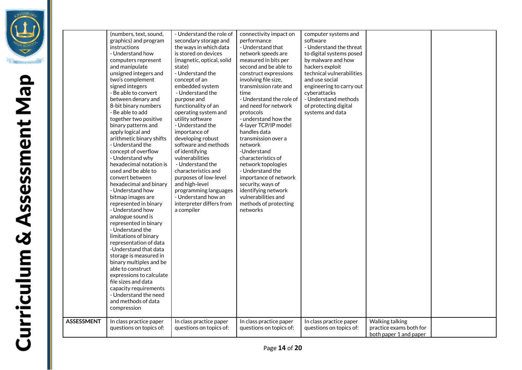|                   | (numbers, text, sound,<br>graphics) and program<br>instructions<br>- Understand how<br>computers represent<br>and manipulate<br>unsigned integers and<br>two's complement<br>signed integers<br>- Be able to convert<br>between denary and<br>8-bit binary numbers<br>- Be able to add<br>together two positive<br>binary patterns and<br>apply logical and<br>arithmetic binary shifts<br>- Understand the<br>concept of overflow<br>- Understand why<br>hexadecimal notation is<br>used and be able to<br>convert between<br>hexadecimal and binary<br>- Understand how<br>bitmap images are<br>represented in binary<br>- Understand how<br>analogue sound is<br>represented in binary<br>- Understand the<br>limitations of binary<br>representation of data<br>-Understand that data<br>storage is measured in<br>binary multiples and be<br>able to construct<br>expressions to calculate<br>file sizes and data<br>capacity requirements<br>- Understand the need<br>and methods of data<br>compression | - Understand the role of<br>secondary storage and<br>the ways in which data<br>is stored on devices<br>(magnetic, optical, solid<br>state)<br>- Understand the<br>concept of an<br>embedded system<br>- Understand the<br>purpose and<br>functionality of an<br>operating system and<br>utility software<br>- Understand the<br>importance of<br>developing robust<br>software and methods<br>of identifying<br>vulnerabilities<br>- Understand the<br>characteristics and<br>purposes of low-level<br>and high-level<br>programming languages<br>- Understand how an<br>interpreter differs from<br>a compiler | connectivity impact on<br>performance<br>- Understand that<br>network speeds are<br>measured in bits per<br>second and be able to<br>construct expressions<br>involving file size,<br>transmission rate and<br>time<br>- Understand the role of<br>and need for network<br>protocols<br>- understand how the<br>4-layer TCP/IP model<br>handles data<br>transmission over a<br>network<br>-Understand<br>characteristics of<br>network topologies<br>- Understand the<br>importance of network<br>security, ways of<br>identifying network<br>vulnerabilities and<br>methods of protecting<br>networks | computer systems and<br>software<br>- Understand the threat<br>to digital systems posed<br>by malware and how<br>hackers exploit<br>technical vulnerabilities<br>and use social<br>engineering to carry out<br>cyberattacks<br>- Understand methods<br>of protecting digital<br>systems and data |                                                                      |  |
|-------------------|----------------------------------------------------------------------------------------------------------------------------------------------------------------------------------------------------------------------------------------------------------------------------------------------------------------------------------------------------------------------------------------------------------------------------------------------------------------------------------------------------------------------------------------------------------------------------------------------------------------------------------------------------------------------------------------------------------------------------------------------------------------------------------------------------------------------------------------------------------------------------------------------------------------------------------------------------------------------------------------------------------------|-----------------------------------------------------------------------------------------------------------------------------------------------------------------------------------------------------------------------------------------------------------------------------------------------------------------------------------------------------------------------------------------------------------------------------------------------------------------------------------------------------------------------------------------------------------------------------------------------------------------|--------------------------------------------------------------------------------------------------------------------------------------------------------------------------------------------------------------------------------------------------------------------------------------------------------------------------------------------------------------------------------------------------------------------------------------------------------------------------------------------------------------------------------------------------------------------------------------------------------|--------------------------------------------------------------------------------------------------------------------------------------------------------------------------------------------------------------------------------------------------------------------------------------------------|----------------------------------------------------------------------|--|
| <b>ASSESSMENT</b> | In class practice paper<br>questions on topics of:                                                                                                                                                                                                                                                                                                                                                                                                                                                                                                                                                                                                                                                                                                                                                                                                                                                                                                                                                             | In class practice paper<br>questions on topics of:                                                                                                                                                                                                                                                                                                                                                                                                                                                                                                                                                              | In class practice paper<br>questions on topics of:                                                                                                                                                                                                                                                                                                                                                                                                                                                                                                                                                     | In class practice paper<br>questions on topics of:                                                                                                                                                                                                                                               | Walking talking<br>practice exams both for<br>both paper 1 and paper |  |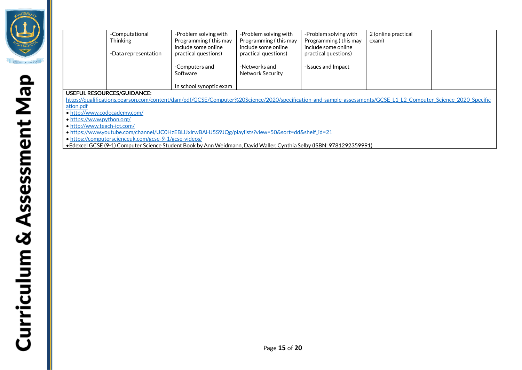

|                                                                                                                                                                | -Computational               | -Problem solving with   | -Problem solving with | -Problem solving with | 2 (online practical |  |  |  |
|----------------------------------------------------------------------------------------------------------------------------------------------------------------|------------------------------|-------------------------|-----------------------|-----------------------|---------------------|--|--|--|
|                                                                                                                                                                | <b>Thinking</b>              | Programming (this may   | Programming (this may | Programming (this may | exam)               |  |  |  |
|                                                                                                                                                                |                              | include some online     | include some online   | include some online   |                     |  |  |  |
|                                                                                                                                                                | -Data representation         | practical questions)    | practical questions)  | practical questions)  |                     |  |  |  |
|                                                                                                                                                                |                              |                         |                       |                       |                     |  |  |  |
|                                                                                                                                                                |                              | -Computers and          | -Networks and         | -Issues and Impact    |                     |  |  |  |
|                                                                                                                                                                |                              | Software                | Network Security      |                       |                     |  |  |  |
|                                                                                                                                                                |                              |                         |                       |                       |                     |  |  |  |
|                                                                                                                                                                |                              | In school synoptic exam |                       |                       |                     |  |  |  |
|                                                                                                                                                                | USEFUL RESOURCES/GUIDANCE:   |                         |                       |                       |                     |  |  |  |
| https://qualifications.pearson.com/content/dam/pdf/GCSE/Computer%20Science/2020/specification-and-sample-assessments/GCSE L1 L2 Computer Science 2020 Specific |                              |                         |                       |                       |                     |  |  |  |
| ation.pdf                                                                                                                                                      |                              |                         |                       |                       |                     |  |  |  |
|                                                                                                                                                                | • http://www.codecademy.com/ |                         |                       |                       |                     |  |  |  |
| • https://www.python.org/                                                                                                                                      |                              |                         |                       |                       |                     |  |  |  |

• <http://www.teach-ict.com/>

• [https://www.youtube.com/channel/UC0HzEBLlJxlrwBAHJ5S9JQg/playlists?view=50&sort=dd&shelf\\_id=21](https://www.youtube.com/channel/UC0HzEBLlJxlrwBAHJ5S9JQg/playlists?view=50&sort=dd&shelf_id=21)

• <https://computerscienceuk.com/gcse-9-1/gcse-videos/>

•Edexcel GCSE (9-1) Computer Science Student Book by Ann Weidmann, David Waller, Cynthia Selby (ISBN: 9781292359991)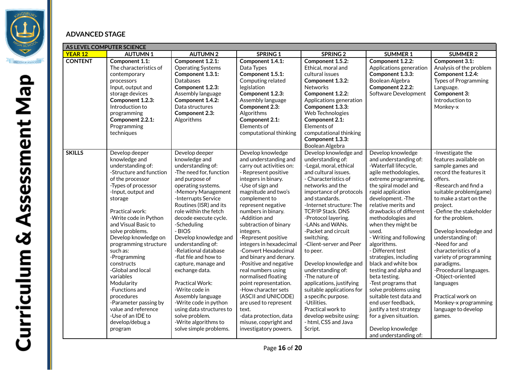

### **ADVANCED STAGE**

| AS LEVEL COMPUTER SCIENCE |                                                                                                                                                                                                                                                                                                                                                                                                                                                                                                                                 |                                                                                                                                                                                                                                                                                                                                                                                                                                                                                                                                                                                                      |                                                                                                                                                                                                                                                                                                                                                                                                                                                                                                                                                                                                                                                      |                                                                                                                                                                                                                                                                                                                                                                                                                                                                                                                                                                                                               |                                                                                                                                                                                                                                                                                                                                                                                                                                                                                                                                                                                                                                                      |                                                                                                                                                                                                                                                                                                                                                                                                                                                                                                                   |  |
|---------------------------|---------------------------------------------------------------------------------------------------------------------------------------------------------------------------------------------------------------------------------------------------------------------------------------------------------------------------------------------------------------------------------------------------------------------------------------------------------------------------------------------------------------------------------|------------------------------------------------------------------------------------------------------------------------------------------------------------------------------------------------------------------------------------------------------------------------------------------------------------------------------------------------------------------------------------------------------------------------------------------------------------------------------------------------------------------------------------------------------------------------------------------------------|------------------------------------------------------------------------------------------------------------------------------------------------------------------------------------------------------------------------------------------------------------------------------------------------------------------------------------------------------------------------------------------------------------------------------------------------------------------------------------------------------------------------------------------------------------------------------------------------------------------------------------------------------|---------------------------------------------------------------------------------------------------------------------------------------------------------------------------------------------------------------------------------------------------------------------------------------------------------------------------------------------------------------------------------------------------------------------------------------------------------------------------------------------------------------------------------------------------------------------------------------------------------------|------------------------------------------------------------------------------------------------------------------------------------------------------------------------------------------------------------------------------------------------------------------------------------------------------------------------------------------------------------------------------------------------------------------------------------------------------------------------------------------------------------------------------------------------------------------------------------------------------------------------------------------------------|-------------------------------------------------------------------------------------------------------------------------------------------------------------------------------------------------------------------------------------------------------------------------------------------------------------------------------------------------------------------------------------------------------------------------------------------------------------------------------------------------------------------|--|
| <b>YEAR 12</b>            | <b>AUTUMN1</b>                                                                                                                                                                                                                                                                                                                                                                                                                                                                                                                  | <b>AUTUMN2</b>                                                                                                                                                                                                                                                                                                                                                                                                                                                                                                                                                                                       | SPRING 1                                                                                                                                                                                                                                                                                                                                                                                                                                                                                                                                                                                                                                             | <b>SPRING 2</b>                                                                                                                                                                                                                                                                                                                                                                                                                                                                                                                                                                                               | <b>SUMMER 1</b>                                                                                                                                                                                                                                                                                                                                                                                                                                                                                                                                                                                                                                      | <b>SUMMER 2</b>                                                                                                                                                                                                                                                                                                                                                                                                                                                                                                   |  |
| <b>CONTENT</b>            | Component 1.1:<br>The characteristics of<br>contemporary<br>processors<br>Input, output and<br>storage devices<br>Component 1.2.3:<br>Introduction to<br>programming<br>Component 2.2.1:<br>Programming<br>techniques                                                                                                                                                                                                                                                                                                           | Component 1.2.1:<br><b>Operating Systems</b><br>Component 1.3.1:<br>Databases<br>Component 1.2.3:<br>Assembly language<br>Component 1.4.2:<br>Data structures<br>Component 2.3:<br>Algorithms                                                                                                                                                                                                                                                                                                                                                                                                        | Component 1.4.1:<br>Data Types<br>Component 1.5.1:<br>Computing related<br>legislation<br>Component 1.2.3:<br>Assembly language<br>Component 2.3:<br>Algorithms<br>Component 2.1:<br>Elements of<br>computational thinking                                                                                                                                                                                                                                                                                                                                                                                                                           | Component 1.5.2:<br>Ethical, moral and<br>cultural issues<br>Component 1.3.2:<br><b>Networks</b><br>Component 1.2.2:<br>Applications generation<br>Component 1.3.3:<br>Web Technologies<br>Component 2.1:<br>Elements of<br>computational thinking<br>Component 1.3.3:<br>Boolean Algebra                                                                                                                                                                                                                                                                                                                     | Component 1.2.2:<br>Applications generation<br>Component 1.3.3:<br>Boolean Algebra<br>Component 2.2.2:<br>Software Development                                                                                                                                                                                                                                                                                                                                                                                                                                                                                                                       | Component 3.1:<br>Analysis of the problem<br>Component 1.2.4:<br><b>Types of Programming</b><br>Language.<br>Component 3:<br>Introduction to<br>Monkey-x                                                                                                                                                                                                                                                                                                                                                          |  |
| <b>SKILLS</b>             | Develop deeper<br>knowledge and<br>understanding of:<br>-Structure and function<br>of the processor<br>-Types of processor<br>-Input, output and<br>storage<br>Practical work:<br>-Write code in Python<br>and Visual Basic to<br>solve problems.<br>Develop knowledge on<br>programming structure<br>such as:<br>-Programming<br>constructs<br>-Global and local<br>variables<br>Modularity<br>-Functions and<br>procedures<br>-Parameter passing by<br>value and reference<br>-Use of an IDE to<br>develop/debug a<br>program | Develop deeper<br>knowledge and<br>understanding of:<br>-The need for, function<br>and purpose of<br>operating systems.<br>-Memory Management<br>-Interrupts Service<br>Routines (ISR) and its<br>role within the fetch<br>decode execute cycle.<br>-Scheduling<br>- BIOS<br>Develop knowledge and<br>understanding of:<br>-Relational database<br>-flat file and how to<br>capture, manage and<br>exchange data.<br>Practical Work:<br>-Write code in<br>Assembly language<br>-Write code in python<br>using data structures to<br>solve problem.<br>-Write algorithms to<br>solve simple problems. | Develop knowledge<br>and understanding and<br>carry out activities on:<br>- Represent positive<br>integers in binary.<br>-Use of sign and<br>magnitude and two's<br>complement to<br>represent negative<br>numbers in binary.<br>-Addition and<br>subtraction of binary<br>integers.<br>-Represent positive<br>integers in hexadecimal<br>-Convert Hexadecimal<br>and binary and denary.<br>-Positive and negative<br>real numbers using<br>normalised floating<br>point representation.<br>-How character sets<br>(ASCII and UNICODE)<br>are used to represent<br>text.<br>-data protection, data<br>misuse, copyright and<br>investigatory powers. | Develop knowledge and<br>understanding of:<br>-Legal, moral, ethical<br>and cultural issues.<br>- Characteristics of<br>networks and the<br>importance of protocols<br>and standards.<br>-Internet structure: The<br>TCP/IP Stack. DNS<br>-Protocol layering.<br>-LANs and WANs.<br>-Packet and circuit<br>switching.<br>-Client-server and Peer<br>to peer.<br>Develop knowledge and<br>understanding of:<br>-The nature of<br>applications, justifying<br>suitable applications for<br>a specific purpose.<br>-Utilities.<br>Practical work to<br>develop website using:<br>- html, CSS and Java<br>Script. | Develop knowledge<br>and understanding of:<br>-Waterfall lifecycle,<br>agile methodologies,<br>extreme programming,<br>the spiral model and<br>rapid application<br>development. -The<br>relative merits and<br>drawbacks of different<br>methodologies and<br>when they might be<br>used.<br>- Writing and following<br>algorithms.<br>- Different test<br>strategies, including<br>black and white box<br>testing and alpha and<br>beta testing.<br>-Test programs that<br>solve problems using<br>suitable test data and<br>end user feedback,<br>justify a test strategy<br>for a given situation.<br>Develop knowledge<br>and understanding of: | -Investigate the<br>features available on<br>sample games and<br>record the features it<br>offers.<br>-Research and find a<br>suitable problem(game)<br>to make a start on the<br>project.<br>-Define the stakeholder<br>for the problem.<br>Develop knowledge and<br>understanding of:<br>-Need for and<br>characteristics of a<br>variety of programming<br>paradigms.<br>-Procedural languages.<br>-Object-oriented<br>languages<br>Practical work on<br>Monkey-x programming<br>language to develop<br>games. |  |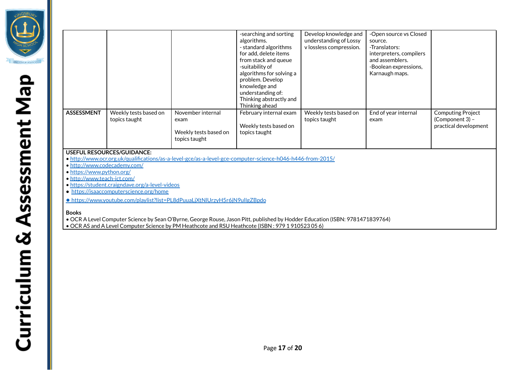

|                                                                                                                                                                                                              |                                        |                                                                     | -searching and sorting<br>algorithms.<br>- standard algorithms<br>for add, delete items<br>from stack and queue<br>-suitability of<br>algorithms for solving a<br>problem. Develop<br>knowledge and<br>understanding of:<br>Thinking abstractly and<br>Thinking ahead | Develop knowledge and<br>understanding of Lossy<br>v lossless compression. | -Open source vs Closed<br>source.<br>-Translators:<br>interpreters, compilers<br>and assemblers.<br>-Boolean expressions,<br>Karnaugh maps. |                                                                      |
|--------------------------------------------------------------------------------------------------------------------------------------------------------------------------------------------------------------|----------------------------------------|---------------------------------------------------------------------|-----------------------------------------------------------------------------------------------------------------------------------------------------------------------------------------------------------------------------------------------------------------------|----------------------------------------------------------------------------|---------------------------------------------------------------------------------------------------------------------------------------------|----------------------------------------------------------------------|
| <b>ASSESSMENT</b>                                                                                                                                                                                            | Weekly tests based on<br>topics taught | November internal<br>exam<br>Weekly tests based on<br>topics taught | February internal exam<br>Weekly tests based on<br>topics taught                                                                                                                                                                                                      | Weekly tests based on<br>topics taught                                     | End of year internal<br>exam                                                                                                                | <b>Computing Project</b><br>(Component 3) -<br>practical development |
| <b>USEFUL RESOURCES/GUIDANCE:</b><br>• http://www.ocr.org.uk/qualifications/as-a-level-gce/as-a-level-gce-computer-science-h046-h446-from-2015/<br>• http://www.codecademy.com/<br>• https://www.python.org/ |                                        |                                                                     |                                                                                                                                                                                                                                                                       |                                                                            |                                                                                                                                             |                                                                      |

- <http://www.teach-ict.com/>
- <https://student.craigndave.org/a-level-videos>
- <https://isaaccomputerscience.org/home>
- <https://www.youtube.com/playlist?list=PL8dPuuaLjXtNlUrzyH5r6jN9ulIgZBpdo>

#### **Books**

- OCR A Level Computer Science by Sean O'Byrne, George Rouse, Jason Pitt, published by Hodder Education (ISBN: 9781471839764)
- OCR AS and A Level Computer Science by PM Heathcote and RSU Heathcote (ISBN : 979 1 910523 05 6)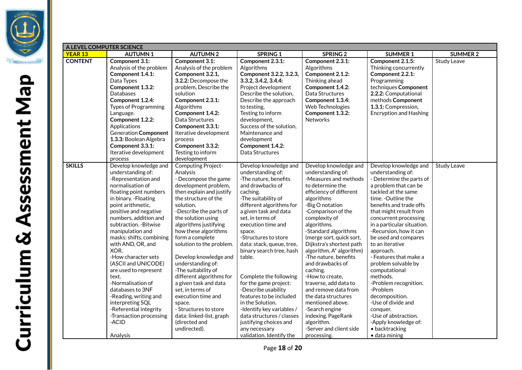

| A LEVEL COMPUTER SCIENCE |                                            |                                                  |                                                   |                                       |                                            |                    |  |  |
|--------------------------|--------------------------------------------|--------------------------------------------------|---------------------------------------------------|---------------------------------------|--------------------------------------------|--------------------|--|--|
| <b>YEAR 13</b>           | <b>AUTUMN1</b>                             | <b>AUTUMN2</b>                                   | SPRING 1                                          | <b>SPRING 2</b>                       | <b>SUMMER 1</b>                            | <b>SUMMER 2</b>    |  |  |
| <b>CONTENT</b>           | Component 3.1:                             | Component 3.1:                                   | Component 2.3.1:                                  | Component 2.3.1:                      | Component 2.1.5:                           | <b>Study Leave</b> |  |  |
|                          | Analysis of the problem                    | Analysis of the problem                          | Algorithms                                        | Algorithms                            | Thinking concurrently                      |                    |  |  |
|                          | Component 1.4.1:                           | Component 3.2.1,                                 | Component 3.2.2, 3.2.3,                           | Component 2.1.2:                      | Component 2.2.1:                           |                    |  |  |
|                          | Data Types                                 | 3.2.2: Decompose the                             | 3.3.2, 3.4.2, 3.4.4:                              | Thinking ahead                        | Programming                                |                    |  |  |
|                          | Component 1.3.2:                           | problem, Describe the                            | Project development                               | Component 1.4.2:                      | techniques Component                       |                    |  |  |
|                          | Databases                                  | solution                                         | Describe the solution,                            | Data Structures                       | 2.2.2: Computational                       |                    |  |  |
|                          | Component 1.2.4:                           | Component 2.3.1:                                 | Describe the approach                             | Component 1.3.4:                      | methods Component                          |                    |  |  |
|                          | <b>Types of Programming</b>                | Algorithms                                       | to testing,                                       | Web Technologies                      | 1.3.1: Compression,                        |                    |  |  |
|                          | Language.                                  | Component 1.4.2:                                 | Testing to inform                                 | Component 1.3.2:                      | <b>Encryption and Hashing</b>              |                    |  |  |
|                          | Component 1.2.2:                           | Data Structures                                  | development,                                      | Networks                              |                                            |                    |  |  |
|                          | Applications                               | Component 3.3.1:                                 | Success of the solution,                          |                                       |                                            |                    |  |  |
|                          | <b>Generation Component</b>                | Iterative development                            | Maintenance and                                   |                                       |                                            |                    |  |  |
|                          | 1.3.3: Boolean Algebra                     | process                                          | development                                       |                                       |                                            |                    |  |  |
|                          | Component 3.3.1:                           | Component 3.3.2:                                 | Component 1.4.2:                                  |                                       |                                            |                    |  |  |
|                          | Iterative development                      | Testing to inform                                | Data Structures                                   |                                       |                                            |                    |  |  |
|                          | process                                    | development                                      |                                                   |                                       |                                            |                    |  |  |
| <b>SKILLS</b>            | Develop knowledge and                      | Computing Project-                               | Develop knowledge and                             | Develop knowledge and                 | Develop knowledge and                      | <b>Study Leave</b> |  |  |
|                          | understanding of:                          | Analysis                                         | understanding of:                                 | understanding of:                     | understanding of:                          |                    |  |  |
|                          | -Representation and                        | - Decompose the game                             | -The nature, benefits                             | -Measures and methods                 | - Determine the parts of                   |                    |  |  |
|                          | normalisation of                           | development problem,                             | and drawbacks of                                  | to determine the                      | a problem that can be                      |                    |  |  |
|                          | floating point numbers                     | then explain and justify<br>the structure of the | caching.                                          | efficiency of different               | tackled at the same<br>time. - Outline the |                    |  |  |
|                          | in binary. - Floating<br>point arithmetic, | solution.                                        | -The suitability of                               | algorithms                            | benefits and trade offs                    |                    |  |  |
|                          | positive and negative                      | -Describe the parts of                           | different algorithms for<br>a given task and data | -Big O notation<br>-Comparison of the | that might result from                     |                    |  |  |
|                          | numbers, addition and                      | the solution using                               | set, in terms of                                  | complexity of                         | concurrent processing                      |                    |  |  |
|                          | subtraction. - Bitwise                     | algorithms justifying                            | execution time and                                | algorithms.                           | in a particular situation.                 |                    |  |  |
|                          | manipulation and                           | how these algorithms                             | space.                                            | -Standard algorithms                  | -Recursion, how it can                     |                    |  |  |
|                          | masks: shifts, combining                   | form a complete                                  | -Structures to store                              | (merge sort, quick sort,              | be used and compares                       |                    |  |  |
|                          | with AND, OR, and                          | solution to the problem.                         | data: stack, queue, tree,                         | Dijkstra's shortest path              | to an iterative                            |                    |  |  |
|                          | XOR.                                       |                                                  | binary search tree, hash                          | algorithm, A* algorithm)              | approach.                                  |                    |  |  |
|                          | -How character sets                        | Develop knowledge and                            | table.                                            | -The nature, benefits                 | - Features that make a                     |                    |  |  |
|                          | (ASCII and UNICODE)                        | understanding of:                                |                                                   | and drawbacks of                      | problem solvable by                        |                    |  |  |
|                          | are used to represent                      | -The suitability of                              |                                                   | caching.                              | computational                              |                    |  |  |
|                          | text.                                      | different algorithms for                         | Complete the following                            | -How to create,                       | methods.                                   |                    |  |  |
|                          | -Normalisation of                          | a given task and data                            | for the game project:                             | traverse, add data to                 | -Problem recognition.                      |                    |  |  |
|                          | databases to 3NF                           | set, in terms of                                 | -Describe usability                               | and remove data from                  | -Problem                                   |                    |  |  |
|                          | -Reading, writing and                      | execution time and                               | features to be included                           | the data structures                   | decomposition.                             |                    |  |  |
|                          | interpreting SQL                           | space.                                           | in the Solution.                                  | mentioned above.                      | -Use of divide and                         |                    |  |  |
|                          | -Referential integrity                     | - Structures to store                            | -Identify key variables /                         | -Search engine                        | conquer.                                   |                    |  |  |
|                          | -Transaction processing                    | data: linked-list, graph                         | data structures / classes                         | indexing. PageRank                    | -Use of abstraction.                       |                    |  |  |
|                          | -ACID                                      | (directed and                                    | justifying choices and                            | algorithm.                            | -Apply knowledge of:                       |                    |  |  |
|                          |                                            | undirected).                                     | any necessary                                     | -Server and client side               | • backtracking                             |                    |  |  |
|                          | Analysis                                   |                                                  | validation. Identify the                          | processing.                           | · data mining                              |                    |  |  |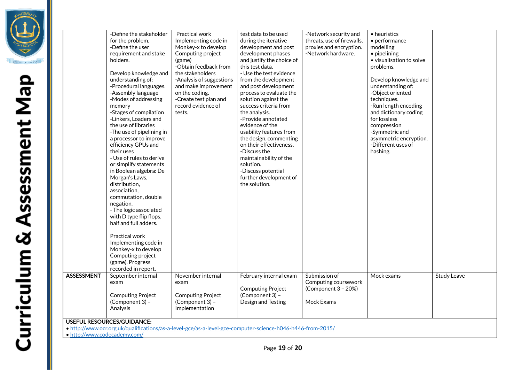

| ı                                     |
|---------------------------------------|
|                                       |
|                                       |
|                                       |
|                                       |
|                                       |
|                                       |
|                                       |
| $\frac{1}{4}$<br>J                    |
| ì                                     |
|                                       |
|                                       |
| }<br>}<br>}                           |
|                                       |
|                                       |
|                                       |
| ì                                     |
| I                                     |
|                                       |
|                                       |
|                                       |
|                                       |
| I                                     |
|                                       |
|                                       |
|                                       |
|                                       |
| $\begin{array}{c} \hline \end{array}$ |
| I                                     |
|                                       |
|                                       |
| ì                                     |
| I                                     |
|                                       |
|                                       |
| $\begin{array}{c} \hline \end{array}$ |
|                                       |
|                                       |

|                                                                                                                                                 | -Define the stakeholder<br>for the problem.<br>-Define the user<br>requirement and stake<br>holders.<br>Develop knowledge and<br>understanding of:<br>-Procedural languages.<br>-Assembly language<br>-Modes of addressing<br>memory<br>-Stages of compilation<br>-Linkers, Loaders and<br>the use of libraries<br>-The use of pipelining in<br>a processor to improve<br>efficiency GPUs and<br>their uses<br>- Use of rules to derive<br>or simplify statements<br>in Boolean algebra: De<br>Morgan's Laws,<br>distribution,<br>association,<br>commutation, double<br>negation.<br>- The logic associated<br>with D type flip flops,<br>half and full adders.<br>Practical work<br>Implementing code in<br>Monkey-x to develop<br>Computing project<br>(game). Progress<br>recorded in report. | Practical work<br>Implementing code in<br>Monkey-x to develop<br>Computing project<br>(game)<br>-Obtain feedback from<br>the stakeholders<br>-Analysis of suggestions<br>and make improvement<br>on the coding.<br>-Create test plan and<br>record evidence of<br>tests. | test data to be used<br>during the iterative<br>development and post<br>development phases<br>and justify the choice of<br>this test data.<br>- Use the test evidence<br>from the development<br>and post development<br>process to evaluate the<br>solution against the<br>success criteria from<br>the analysis.<br>-Provide annotated<br>evidence of the<br>usability features from<br>the design, commenting<br>on their effectiveness.<br>-Discuss the<br>maintainability of the<br>solution.<br>-Discuss potential<br>further development of<br>the solution. | -Network security and<br>threats, use of firewalls,<br>proxies and encryption.<br>-Network hardware. | • heuristics<br>• performance<br>modelling<br>• pipelining<br>• visualisation to solve<br>problems.<br>Develop knowledge and<br>understanding of:<br>-Object oriented<br>techniques.<br>-Run length encoding<br>and dictionary coding<br>for lossless<br>compression<br>-Symmetric and<br>asymmetric encryption.<br>-Different uses of<br>hashing. |                    |  |
|-------------------------------------------------------------------------------------------------------------------------------------------------|---------------------------------------------------------------------------------------------------------------------------------------------------------------------------------------------------------------------------------------------------------------------------------------------------------------------------------------------------------------------------------------------------------------------------------------------------------------------------------------------------------------------------------------------------------------------------------------------------------------------------------------------------------------------------------------------------------------------------------------------------------------------------------------------------|--------------------------------------------------------------------------------------------------------------------------------------------------------------------------------------------------------------------------------------------------------------------------|---------------------------------------------------------------------------------------------------------------------------------------------------------------------------------------------------------------------------------------------------------------------------------------------------------------------------------------------------------------------------------------------------------------------------------------------------------------------------------------------------------------------------------------------------------------------|------------------------------------------------------------------------------------------------------|----------------------------------------------------------------------------------------------------------------------------------------------------------------------------------------------------------------------------------------------------------------------------------------------------------------------------------------------------|--------------------|--|
| <b>ASSESSMENT</b>                                                                                                                               | September internal<br>exam<br><b>Computing Project</b><br>(Component 3) -<br>Analysis                                                                                                                                                                                                                                                                                                                                                                                                                                                                                                                                                                                                                                                                                                             | November internal<br>exam<br><b>Computing Project</b><br>(Component 3) -<br>Implementation                                                                                                                                                                               | February internal exam<br><b>Computing Project</b><br>(Component 3) -<br>Design and Testing                                                                                                                                                                                                                                                                                                                                                                                                                                                                         | Submission of<br>Computing coursework<br>(Component 3 - 20%)<br>Mock Exams                           | Mock exams                                                                                                                                                                                                                                                                                                                                         | <b>Study Leave</b> |  |
| <b>USEFUL RESOURCES/GUIDANCE:</b><br>· http://www.ocr.org.uk/qualifications/as-a-level-gce/as-a-level-gce-computer-science-h046-h446-from-2015/ |                                                                                                                                                                                                                                                                                                                                                                                                                                                                                                                                                                                                                                                                                                                                                                                                   |                                                                                                                                                                                                                                                                          |                                                                                                                                                                                                                                                                                                                                                                                                                                                                                                                                                                     |                                                                                                      |                                                                                                                                                                                                                                                                                                                                                    |                    |  |
|                                                                                                                                                 |                                                                                                                                                                                                                                                                                                                                                                                                                                                                                                                                                                                                                                                                                                                                                                                                   |                                                                                                                                                                                                                                                                          |                                                                                                                                                                                                                                                                                                                                                                                                                                                                                                                                                                     |                                                                                                      |                                                                                                                                                                                                                                                                                                                                                    |                    |  |

• <http://www.codecademy.com/>